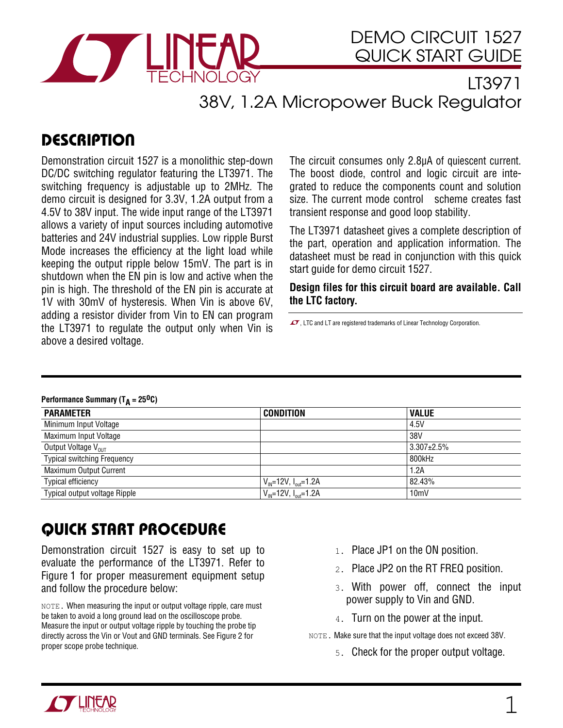

## LT3971 38V, 1.2A Micropower Buck Regulator

## **DESCRIPTION**

Demonstration circuit 1527 is a monolithic step-down DC/DC switching regulator featuring the LT3971. The switching frequency is adjustable up to 2MHz. The demo circuit is designed for 3.3V, 1.2A output from a 4.5V to 38V input. The wide input range of the LT3971 allows a variety of input sources including automotive batteries and 24V industrial supplies. Low ripple Burst Mode increases the efficiency at the light load while keeping the output ripple below 15mV. The part is in shutdown when the EN pin is low and active when the pin is high. The threshold of the EN pin is accurate at 1V with 30mV of hysteresis. When Vin is above 6V, adding a resistor divider from Vin to EN can program the LT3971 to regulate the output only when Vin is above a desired voltage.

The circuit consumes only 2.8µA of quiescent current. The boost diode, control and logic circuit are integrated to reduce the components count and solution size. The current mode control scheme creates fast transient response and good loop stability.

The LT3971 datasheet gives a complete description of the part, operation and application information. The datasheet must be read in conjunction with this quick start guide for demo circuit 1527.

**Design files for this circuit board are available. Call the LTC factory.** 

 $\sqrt{ }$ , LTC and LT are registered trademarks of Linear Technology Corporation.

## Performance Summary (T<sub>A</sub> = 25<sup>0</sup>C)

i<br>I

| <b>PARAMETER</b>                   | <b>CONDITION</b>                             | <b>VALUE</b>      |
|------------------------------------|----------------------------------------------|-------------------|
| Minimum Input Voltage              |                                              | 4.5V              |
| Maximum Input Voltage              |                                              | 38V               |
| Output Voltage V <sub>OUT</sub>    |                                              | $3.307 \pm 2.5\%$ |
| <b>Typical switching Frequency</b> |                                              | 800kHz            |
| Maximum Output Current             |                                              | 1.2A              |
| <b>Typical efficiency</b>          | $V_{\text{IN}}$ =12V, $I_{\text{out}}$ =1.2A | 82.43%            |
| Typical output voltage Ripple      | $V_{\text{IN}}$ =12V, $I_{\text{out}}$ =1.2A | 10 <sub>mV</sub>  |
|                                    |                                              |                   |

## QUICK START PROCEDURE

Demonstration circuit 1527 is easy to set up to evaluate the performance of the LT3971. Refer to Figure 1 for proper measurement equipment setup and follow the procedure below:

NOTE. When measuring the input or output voltage ripple, care must be taken to avoid a long ground lead on the oscilloscope probe. Measure the input or output voltage ripple by touching the probe tip directly across the Vin or Vout and GND terminals. See Figure 2 for proper scope probe technique.

- 1. Place JP1 on the ON position.
- 2. Place JP2 on the RT FREQ position.
- 3. With power off, connect the input power supply to Vin and GND.
- 4. Turn on the power at the input.

NOTE. Make sure that the input voltage does not exceed 38V.

5. Check for the proper output voltage.

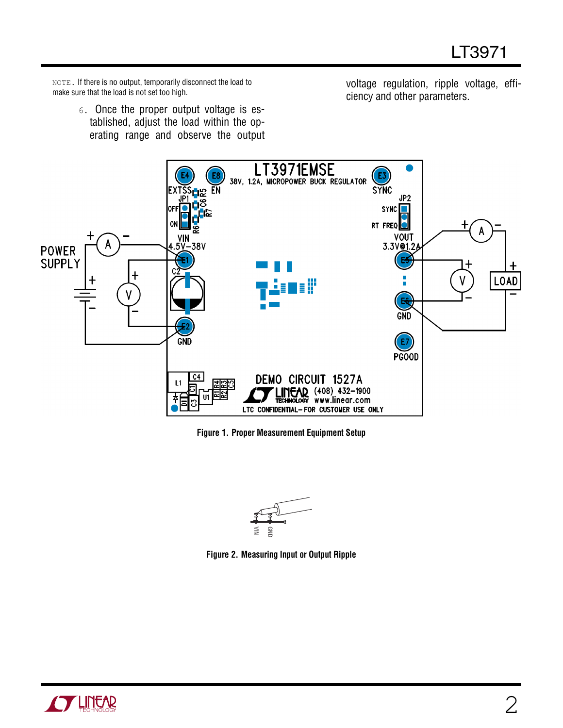NOTE. If there is no output, temporarily disconnect the load to make sure that the load is not set too high.

> 6. Once the proper output voltage is established, adjust the load within the operating range and observe the output

voltage regulation, ripple voltage, efficiency and other parameters.



**Figure 1. Proper Measurement Equipment Setup** 



**Figure 2. Measuring Input or Output Ripple**